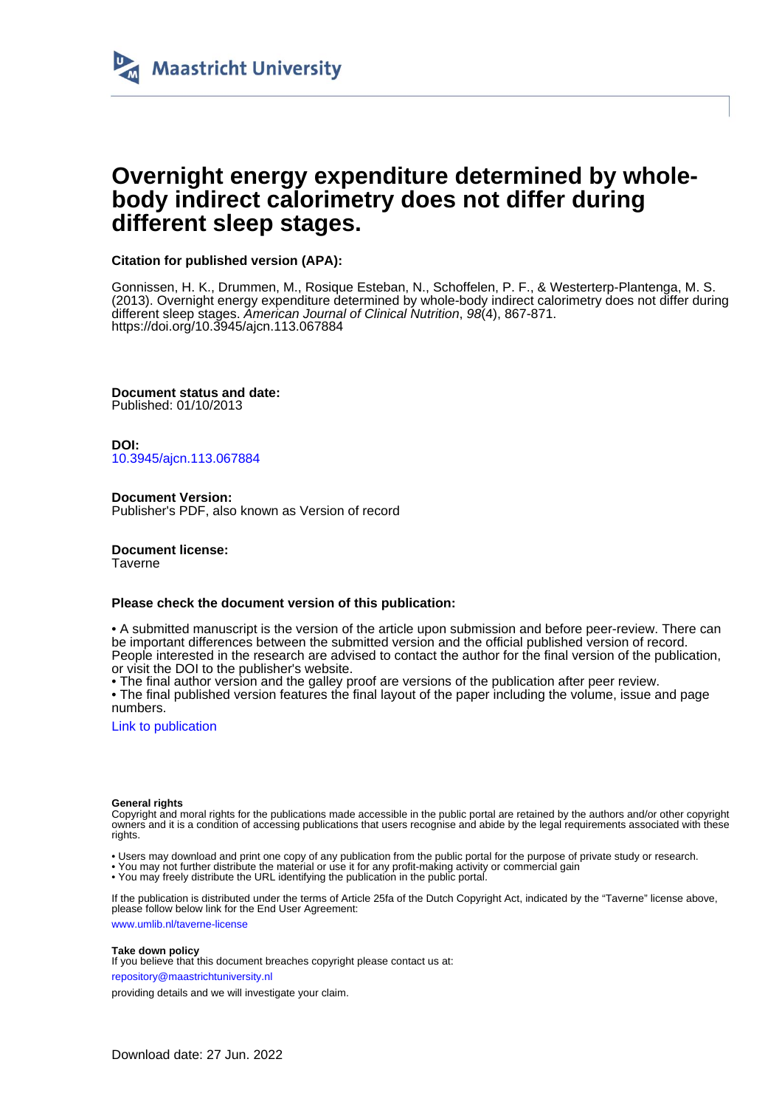

# **Overnight energy expenditure determined by wholebody indirect calorimetry does not differ during different sleep stages.**

# **Citation for published version (APA):**

Gonnissen, H. K., Drummen, M., Rosique Esteban, N., Schoffelen, P. F., & Westerterp-Plantenga, M. S. (2013). Overnight energy expenditure determined by whole-body indirect calorimetry does not differ during different sleep stages. American Journal of Clinical Nutrition, 98(4), 867-871. <https://doi.org/10.3945/ajcn.113.067884>

**Document status and date:** Published: 01/10/2013

**DOI:** [10.3945/ajcn.113.067884](https://doi.org/10.3945/ajcn.113.067884)

**Document Version:** Publisher's PDF, also known as Version of record

**Document license:** Taverne

# **Please check the document version of this publication:**

• A submitted manuscript is the version of the article upon submission and before peer-review. There can be important differences between the submitted version and the official published version of record. People interested in the research are advised to contact the author for the final version of the publication, or visit the DOI to the publisher's website.

• The final author version and the galley proof are versions of the publication after peer review.

• The final published version features the final layout of the paper including the volume, issue and page numbers.

[Link to publication](https://cris.maastrichtuniversity.nl/en/publications/54cb91fc-165e-4a50-954a-9e95493e581f)

## **General rights**

Copyright and moral rights for the publications made accessible in the public portal are retained by the authors and/or other copyright owners and it is a condition of accessing publications that users recognise and abide by the legal requirements associated with these rights.

• Users may download and print one copy of any publication from the public portal for the purpose of private study or research.

• You may not further distribute the material or use it for any profit-making activity or commercial gain

• You may freely distribute the URL identifying the publication in the public portal

If the publication is distributed under the terms of Article 25fa of the Dutch Copyright Act, indicated by the "Taverne" license above, please follow below link for the End User Agreement:

www.umlib.nl/taverne-license

## **Take down policy**

If you believe that this document breaches copyright please contact us at:

repository@maastrichtuniversity.nl

providing details and we will investigate your claim.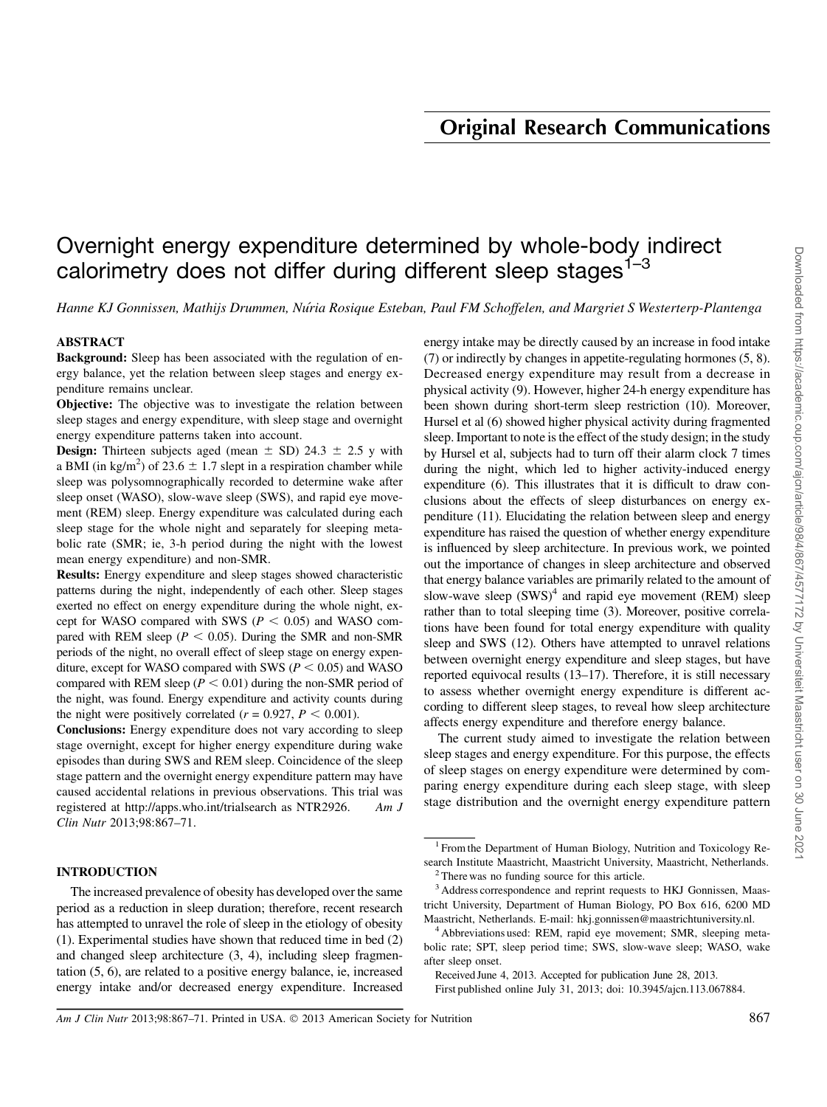# Overnight energy expenditure determined by whole-body indirect calorimetry does not differ during different sleep stages<sup>1-3</sup>

Hanne KJ Gonnissen, Mathijs Drummen, Nu´ria Rosique Esteban, Paul FM Schoffelen, and Margriet S Westerterp-Plantenga

# ABSTRACT

Background: Sleep has been associated with the regulation of energy balance, yet the relation between sleep stages and energy expenditure remains unclear.

Objective: The objective was to investigate the relation between sleep stages and energy expenditure, with sleep stage and overnight energy expenditure patterns taken into account.

**Design:** Thirteen subjects aged (mean  $\pm$  SD) 24.3  $\pm$  2.5 y with a BMI (in kg/m<sup>2</sup>) of 23.6  $\pm$  1.7 slept in a respiration chamber while sleep was polysomnographically recorded to determine wake after sleep onset (WASO), slow-wave sleep (SWS), and rapid eye movement (REM) sleep. Energy expenditure was calculated during each sleep stage for the whole night and separately for sleeping metabolic rate (SMR; ie, 3-h period during the night with the lowest mean energy expenditure) and non-SMR.

Results: Energy expenditure and sleep stages showed characteristic patterns during the night, independently of each other. Sleep stages exerted no effect on energy expenditure during the whole night, except for WASO compared with SWS ( $P < 0.05$ ) and WASO compared with REM sleep ( $P < 0.05$ ). During the SMR and non-SMR periods of the night, no overall effect of sleep stage on energy expenditure, except for WASO compared with SWS ( $P < 0.05$ ) and WASO compared with REM sleep ( $P < 0.01$ ) during the non-SMR period of the night, was found. Energy expenditure and activity counts during the night were positively correlated ( $r = 0.927$ ,  $P < 0.001$ ).

Conclusions: Energy expenditure does not vary according to sleep stage overnight, except for higher energy expenditure during wake episodes than during SWS and REM sleep. Coincidence of the sleep stage pattern and the overnight energy expenditure pattern may have caused accidental relations in previous observations. This trial was registered at http://apps.who.int/trialsearch as NTR2926. Am J Clin Nutr 2013;98:867–71.

# INTRODUCTION

The increased prevalence of obesity has developed over the same period as a reduction in sleep duration; therefore, recent research has attempted to unravel the role of sleep in the etiology of obesity (1). Experimental studies have shown that reduced time in bed (2) and changed sleep architecture (3, 4), including sleep fragmentation (5, 6), are related to a positive energy balance, ie, increased energy intake and/or decreased energy expenditure. Increased energy intake may be directly caused by an increase in food intake (7) or indirectly by changes in appetite-regulating hormones (5, 8). Decreased energy expenditure may result from a decrease in physical activity (9). However, higher 24-h energy expenditure has been shown during short-term sleep restriction (10). Moreover, Hursel et al (6) showed higher physical activity during fragmented sleep. Important to note is the effect of the study design; in the study by Hursel et al, subjects had to turn off their alarm clock 7 times during the night, which led to higher activity-induced energy expenditure (6). This illustrates that it is difficult to draw conclusions about the effects of sleep disturbances on energy expenditure (11). Elucidating the relation between sleep and energy expenditure has raised the question of whether energy expenditure is influenced by sleep architecture. In previous work, we pointed out the importance of changes in sleep architecture and observed that energy balance variables are primarily related to the amount of slow-wave sleep  $(SWS)^4$  and rapid eye movement (REM) sleep rather than to total sleeping time (3). Moreover, positive correlations have been found for total energy expenditure with quality sleep and SWS (12). Others have attempted to unravel relations between overnight energy expenditure and sleep stages, but have reported equivocal results (13–17). Therefore, it is still necessary to assess whether overnight energy expenditure is different according to different sleep stages, to reveal how sleep architecture affects energy expenditure and therefore energy balance.

The current study aimed to investigate the relation between sleep stages and energy expenditure. For this purpose, the effects of sleep stages on energy expenditure were determined by comparing energy expenditure during each sleep stage, with sleep stage distribution and the overnight energy expenditure pattern

<sup>&</sup>lt;sup>1</sup> From the Department of Human Biology, Nutrition and Toxicology Research Institute Maastricht, Maastricht University, Maastricht, Netherlands.

<sup>2</sup> There was no funding source for this article.

<sup>&</sup>lt;sup>3</sup> Address correspondence and reprint requests to HKJ Gonnissen, Maastricht University, Department of Human Biology, PO Box 616, 6200 MD Maastricht, Netherlands. E-mail: hkj.gonnissen@maastrichtuniversity.nl.

<sup>&</sup>lt;sup>4</sup> Abbreviations used: REM, rapid eye movement; SMR, sleeping metabolic rate; SPT, sleep period time; SWS, slow-wave sleep; WASO, wake after sleep onset.

Received June 4, 2013. Accepted for publication June 28, 2013.

First published online July 31, 2013; doi: 10.3945/ajcn.113.067884.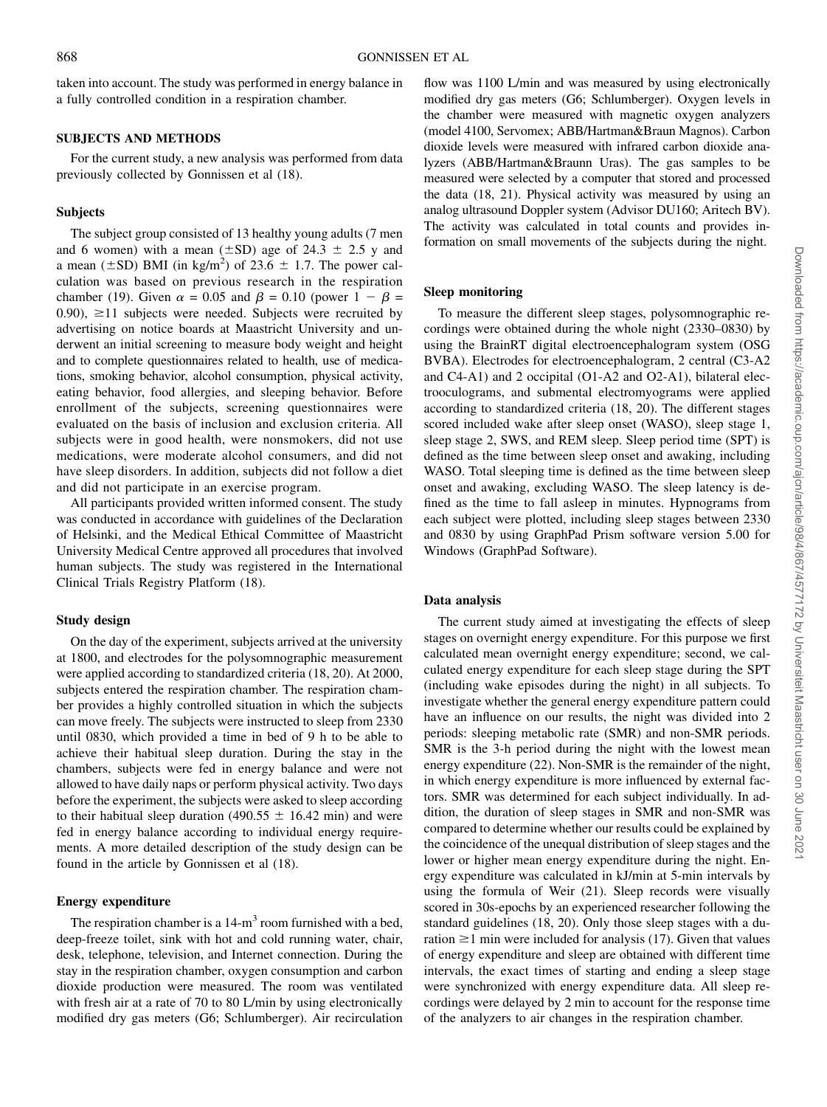taken into account. The study was performed in energy balance in a fully controlled condition in a respiration chamber.

#### SUBJECTS AND METHODS

For the current study, a new analysis was performed from data previously collected by Gonnissen et al (18).

### Subjects

The subject group consisted of 13 healthy young adults (7 men and 6 women) with a mean ( $\pm$ SD) age of 24.3  $\pm$  2.5 y and a mean ( $\pm$ SD) BMI (in kg/m<sup>2</sup>) of 23.6  $\pm$  1.7. The power calculation was based on previous research in the respiration chamber (19). Given  $\alpha = 0.05$  and  $\beta = 0.10$  (power  $1 - \beta =$ 0.90),  $\geq$ 11 subjects were needed. Subjects were recruited by advertising on notice boards at Maastricht University and underwent an initial screening to measure body weight and height and to complete questionnaires related to health, use of medications, smoking behavior, alcohol consumption, physical activity, eating behavior, food allergies, and sleeping behavior. Before enrollment of the subjects, screening questionnaires were evaluated on the basis of inclusion and exclusion criteria. All subjects were in good health, were nonsmokers, did not use medications, were moderate alcohol consumers, and did not have sleep disorders. In addition, subjects did not follow a diet and did not participate in an exercise program.

All participants provided written informed consent. The study was conducted in accordance with guidelines of the Declaration of Helsinki, and the Medical Ethical Committee of Maastricht University Medical Centre approved all procedures that involved human subjects. The study was registered in the International Clinical Trials Registry Platform (18).

## Study design

On the day of the experiment, subjects arrived at the university at 1800, and electrodes for the polysomnographic measurement were applied according to standardized criteria (18, 20). At 2000, subjects entered the respiration chamber. The respiration chamber provides a highly controlled situation in which the subjects can move freely. The subjects were instructed to sleep from 2330 until 0830, which provided a time in bed of 9 h to be able to achieve their habitual sleep duration. During the stay in the chambers, subjects were fed in energy balance and were not allowed to have daily naps or perform physical activity. Two days before the experiment, the subjects were asked to sleep according to their habitual sleep duration (490.55  $\pm$  16.42 min) and were fed in energy balance according to individual energy requirements. A more detailed description of the study design can be found in the article by Gonnissen et al (18).

### Energy expenditure

The respiration chamber is a  $14-m<sup>3</sup>$  room furnished with a bed, deep-freeze toilet, sink with hot and cold running water, chair, desk, telephone, television, and Internet connection. During the stay in the respiration chamber, oxygen consumption and carbon dioxide production were measured. The room was ventilated with fresh air at a rate of 70 to 80 L/min by using electronically modified dry gas meters (G6; Schlumberger). Air recirculation

flow was 1100 L/min and was measured by using electronically modified dry gas meters (G6; Schlumberger). Oxygen levels in the chamber were measured with magnetic oxygen analyzers (model 4100, Servomex; ABB/Hartman&Braun Magnos). Carbon dioxide levels were measured with infrared carbon dioxide analyzers (ABB/Hartman&Braunn Uras). The gas samples to be measured were selected by a computer that stored and processed the data (18, 21). Physical activity was measured by using an analog ultrasound Doppler system (Advisor DU160; Aritech BV). The activity was calculated in total counts and provides information on small movements of the subjects during the night.

# Sleep monitoring

To measure the different sleep stages, polysomnographic recordings were obtained during the whole night (2330–0830) by using the BrainRT digital electroencephalogram system (OSG BVBA). Electrodes for electroencephalogram, 2 central (C3-A2 and C4-A1) and 2 occipital (O1-A2 and O2-A1), bilateral electrooculograms, and submental electromyograms were applied according to standardized criteria (18, 20). The different stages scored included wake after sleep onset (WASO), sleep stage 1, sleep stage 2, SWS, and REM sleep. Sleep period time (SPT) is defined as the time between sleep onset and awaking, including WASO. Total sleeping time is defined as the time between sleep onset and awaking, excluding WASO. The sleep latency is defined as the time to fall asleep in minutes. Hypnograms from each subject were plotted, including sleep stages between 2330 and 0830 by using GraphPad Prism software version 5.00 for Windows (GraphPad Software).

#### Data analysis

The current study aimed at investigating the effects of sleep stages on overnight energy expenditure. For this purpose we first calculated mean overnight energy expenditure; second, we calculated energy expenditure for each sleep stage during the SPT (including wake episodes during the night) in all subjects. To investigate whether the general energy expenditure pattern could have an influence on our results, the night was divided into 2 periods: sleeping metabolic rate (SMR) and non-SMR periods. SMR is the 3-h period during the night with the lowest mean energy expenditure (22). Non-SMR is the remainder of the night, in which energy expenditure is more influenced by external factors. SMR was determined for each subject individually. In addition, the duration of sleep stages in SMR and non-SMR was compared to determine whether our results could be explained by the coincidence of the unequal distribution of sleep stages and the lower or higher mean energy expenditure during the night. Energy expenditure was calculated in kJ/min at 5-min intervals by using the formula of Weir (21). Sleep records were visually scored in 30s-epochs by an experienced researcher following the standard guidelines (18, 20). Only those sleep stages with a duration  $\geq 1$  min were included for analysis (17). Given that values of energy expenditure and sleep are obtained with different time intervals, the exact times of starting and ending a sleep stage were synchronized with energy expenditure data. All sleep recordings were delayed by 2 min to account for the response time of the analyzers to air changes in the respiration chamber.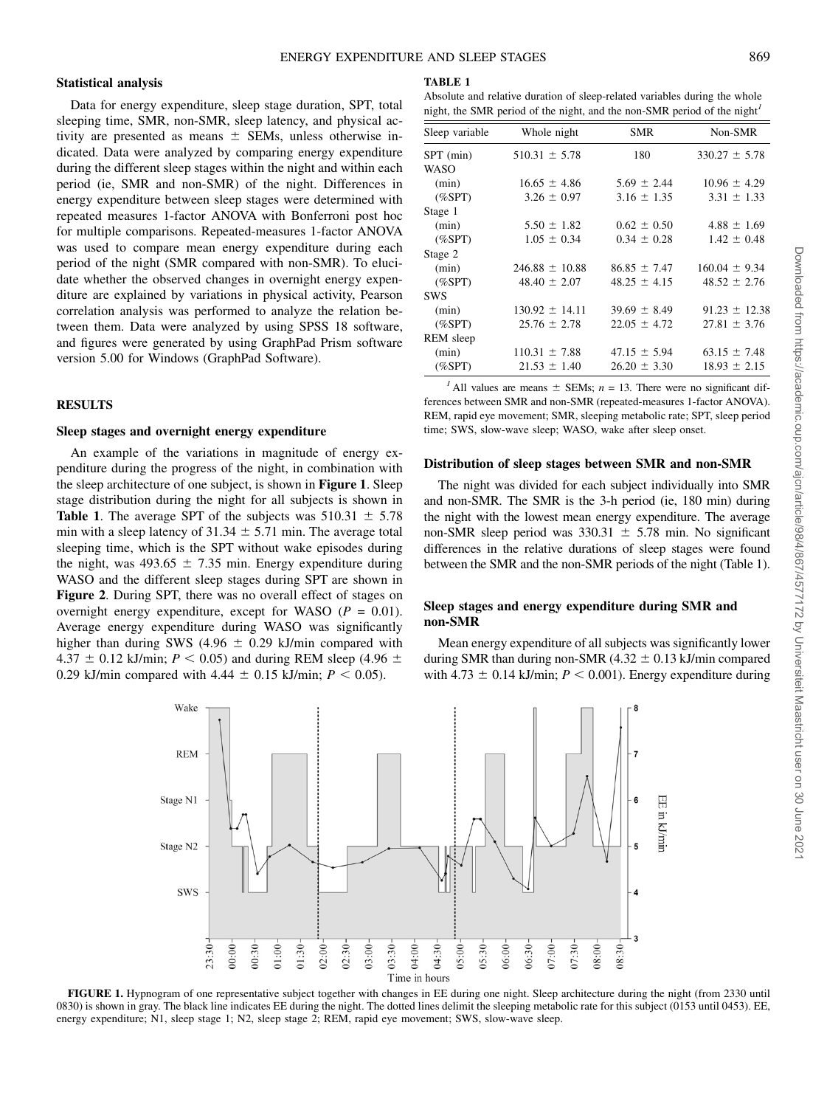# Statistical analysis

Data for energy expenditure, sleep stage duration, SPT, total sleeping time, SMR, non-SMR, sleep latency, and physical activity are presented as means  $\pm$  SEMs, unless otherwise indicated. Data were analyzed by comparing energy expenditure during the different sleep stages within the night and within each period (ie, SMR and non-SMR) of the night. Differences in energy expenditure between sleep stages were determined with repeated measures 1-factor ANOVA with Bonferroni post hoc for multiple comparisons. Repeated-measures 1-factor ANOVA was used to compare mean energy expenditure during each period of the night (SMR compared with non-SMR). To elucidate whether the observed changes in overnight energy expenditure are explained by variations in physical activity, Pearson correlation analysis was performed to analyze the relation between them. Data were analyzed by using SPSS 18 software, and figures were generated by using GraphPad Prism software version 5.00 for Windows (GraphPad Software).

#### RESULTS

## Sleep stages and overnight energy expenditure

An example of the variations in magnitude of energy expenditure during the progress of the night, in combination with the sleep architecture of one subject, is shown in Figure 1. Sleep stage distribution during the night for all subjects is shown in **Table 1.** The average SPT of the subjects was  $510.31 \pm 5.78$ min with a sleep latency of  $31.34 \pm 5.71$  min. The average total sleeping time, which is the SPT without wake episodes during the night, was  $493.65 \pm 7.35$  min. Energy expenditure during WASO and the different sleep stages during SPT are shown in Figure 2. During SPT, there was no overall effect of stages on overnight energy expenditure, except for WASO ( $P = 0.01$ ). Average energy expenditure during WASO was significantly higher than during SWS (4.96  $\pm$  0.29 kJ/min compared with 4.37  $\pm$  0.12 kJ/min; P < 0.05) and during REM sleep (4.96  $\pm$ 0.29 kJ/min compared with 4.44  $\pm$  0.15 kJ/min;  $P < 0.05$ ).

#### TABLE 1

Absolute and relative duration of sleep-related variables during the whole night, the SMR period of the night, and the non-SMR period of the night<sup>1</sup>

| Sleep variable | Whole night        | <b>SMR</b>       | Non-SMR           |
|----------------|--------------------|------------------|-------------------|
| SPT (min)      | $510.31 \pm 5.78$  | 180              | $330.27 \pm 5.78$ |
| WASO           |                    |                  |                   |
| (min)          | $16.65 \pm 4.86$   | $5.69 \pm 2.44$  | $10.96 \pm 4.29$  |
| $(\%$ SPT $)$  | $3.26 \pm 0.97$    | $3.16 \pm 1.35$  | $3.31 \pm 1.33$   |
| Stage 1        |                    |                  |                   |
| (min)          | $5.50 \pm 1.82$    | $0.62 \pm 0.50$  | $4.88 \pm 1.69$   |
| $(\%$ SPT)     | $1.05 \pm 0.34$    | $0.34 \pm 0.28$  | $1.42 \pm 0.48$   |
| Stage 2        |                    |                  |                   |
| (min)          | $246.88 \pm 10.88$ | $86.85 \pm 7.47$ | $160.04 \pm 9.34$ |
| $(\%$ SPT $)$  | $48.40 \pm 2.07$   | $48.25 \pm 4.15$ | $48.52 \pm 2.76$  |
| <b>SWS</b>     |                    |                  |                   |
| (min)          | $130.92 \pm 14.11$ | $39.69 \pm 8.49$ | $91.23 \pm 12.38$ |
| $(\%$ SPT $)$  | $25.76 \pm 2.78$   | $22.05 \pm 4.72$ | $27.81 \pm 3.76$  |
| REM sleep      |                    |                  |                   |
| (min)          | $110.31 \pm 7.88$  | $47.15 \pm 5.94$ | $63.15 \pm 7.48$  |
| $(\%$ SPT $)$  | $21.53 \pm 1.40$   | $26.20 \pm 3.30$ | $18.93 \pm 2.15$  |
|                |                    |                  |                   |

<sup>1</sup> All values are means  $\pm$  SEMs; n = 13. There were no significant differences between SMR and non-SMR (repeated-measures 1-factor ANOVA). REM, rapid eye movement; SMR, sleeping metabolic rate; SPT, sleep period time; SWS, slow-wave sleep; WASO, wake after sleep onset.

#### Distribution of sleep stages between SMR and non-SMR

The night was divided for each subject individually into SMR and non-SMR. The SMR is the 3-h period (ie, 180 min) during the night with the lowest mean energy expenditure. The average non-SMR sleep period was  $330.31 \pm 5.78$  min. No significant differences in the relative durations of sleep stages were found between the SMR and the non-SMR periods of the night (Table 1).

## Sleep stages and energy expenditure during SMR and non-SMR

Mean energy expenditure of all subjects was significantly lower during SMR than during non-SMR  $(4.32 \pm 0.13 \text{ kJ/min})$  compared with 4.73  $\pm$  0.14 kJ/min;  $P < 0.001$ ). Energy expenditure during



FIGURE 1. Hypnogram of one representative subject together with changes in EE during one night. Sleep architecture during the night (from 2330 until 0830) is shown in gray. The black line indicates EE during the night. The dotted lines delimit the sleeping metabolic rate for this subject (0153 until 0453). EE, energy expenditure; N1, sleep stage 1; N2, sleep stage 2; REM, rapid eye movement; SWS, slow-wave sleep.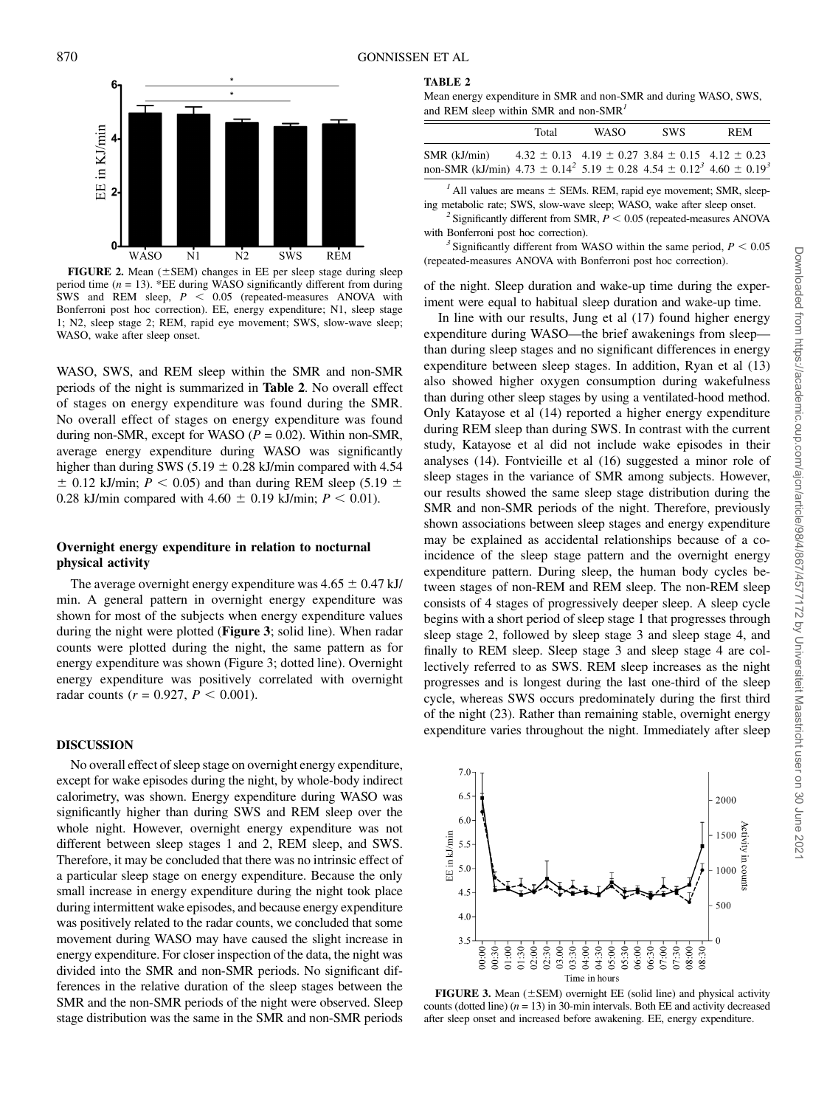

FIGURE 2. Mean ( $\pm$ SEM) changes in EE per sleep stage during sleep period time ( $n = 13$ ). \*EE during WASO significantly different from during SWS and REM sleep,  $P < 0.05$  (repeated-measures ANOVA with Bonferroni post hoc correction). EE, energy expenditure; N1, sleep stage 1; N2, sleep stage 2; REM, rapid eye movement; SWS, slow-wave sleep; WASO, wake after sleep onset.

WASO, SWS, and REM sleep within the SMR and non-SMR periods of the night is summarized in Table 2. No overall effect of stages on energy expenditure was found during the SMR. No overall effect of stages on energy expenditure was found during non-SMR, except for WASO ( $P = 0.02$ ). Within non-SMR, average energy expenditure during WASO was significantly higher than during SWS (5.19  $\pm$  0.28 kJ/min compared with 4.54  $\pm$  0.12 kJ/min; P < 0.05) and than during REM sleep (5.19  $\pm$ 0.28 kJ/min compared with 4.60  $\pm$  0.19 kJ/min;  $P < 0.01$ ).

# Overnight energy expenditure in relation to nocturnal physical activity

The average overnight energy expenditure was  $4.65 \pm 0.47$  kJ/ min. A general pattern in overnight energy expenditure was shown for most of the subjects when energy expenditure values during the night were plotted (Figure 3; solid line). When radar counts were plotted during the night, the same pattern as for energy expenditure was shown (Figure 3; dotted line). Overnight energy expenditure was positively correlated with overnight radar counts ( $r = 0.927$ ,  $P < 0.001$ ).

# DISCUSSION

No overall effect of sleep stage on overnight energy expenditure, except for wake episodes during the night, by whole-body indirect calorimetry, was shown. Energy expenditure during WASO was significantly higher than during SWS and REM sleep over the whole night. However, overnight energy expenditure was not different between sleep stages 1 and 2, REM sleep, and SWS. Therefore, it may be concluded that there was no intrinsic effect of a particular sleep stage on energy expenditure. Because the only small increase in energy expenditure during the night took place during intermittent wake episodes, and because energy expenditure was positively related to the radar counts, we concluded that some movement during WASO may have caused the slight increase in energy expenditure. For closer inspection of the data, the night was divided into the SMR and non-SMR periods. No significant differences in the relative duration of the sleep stages between the SMR and the non-SMR periods of the night were observed. Sleep stage distribution was the same in the SMR and non-SMR periods

## TABLE 2

Mean energy expenditure in SMR and non-SMR and during WASO, SWS, and REM sleep within SMR and non-SMR<sup>1</sup>

|                                                                                                                   | Total                                                           | <b>WASO</b> | <b>SWS</b> | <b>REM</b> |
|-------------------------------------------------------------------------------------------------------------------|-----------------------------------------------------------------|-------------|------------|------------|
| SMR (kJ/min)<br>non-SMR (kJ/min) $4.73 \pm 0.14^2$ 5.19 $\pm$ 0.28 $4.54 \pm 0.12^3$ 4.60 $\pm$ 0.19 <sup>3</sup> | $4.32 \pm 0.13$ $4.19 \pm 0.27$ $3.84 \pm 0.15$ $4.12 \pm 0.23$ |             |            |            |

 $<sup>1</sup>$  All values are means  $\pm$  SEMs. REM, rapid eye movement; SMR, sleep-</sup>

ing metabolic rate; SWS, slow-wave sleep; WASO, wake after sleep onset. <sup>2</sup> Significantly different from SMR,  $P < 0.05$  (repeated-measures ANOVA with Bonferroni post hoc correction).  $3$  Significantly different from WASO within the same period,  $P < 0.05$ 

(repeated-measures ANOVA with Bonferroni post hoc correction).

of the night. Sleep duration and wake-up time during the experiment were equal to habitual sleep duration and wake-up time.

In line with our results, Jung et al (17) found higher energy expenditure during WASO—the brief awakenings from sleep than during sleep stages and no significant differences in energy expenditure between sleep stages. In addition, Ryan et al (13) also showed higher oxygen consumption during wakefulness than during other sleep stages by using a ventilated-hood method. Only Katayose et al (14) reported a higher energy expenditure during REM sleep than during SWS. In contrast with the current study, Katayose et al did not include wake episodes in their analyses (14). Fontvieille et al (16) suggested a minor role of sleep stages in the variance of SMR among subjects. However, our results showed the same sleep stage distribution during the SMR and non-SMR periods of the night. Therefore, previously shown associations between sleep stages and energy expenditure may be explained as accidental relationships because of a coincidence of the sleep stage pattern and the overnight energy expenditure pattern. During sleep, the human body cycles between stages of non-REM and REM sleep. The non-REM sleep consists of 4 stages of progressively deeper sleep. A sleep cycle begins with a short period of sleep stage 1 that progresses through sleep stage 2, followed by sleep stage 3 and sleep stage 4, and finally to REM sleep. Sleep stage 3 and sleep stage 4 are collectively referred to as SWS. REM sleep increases as the night progresses and is longest during the last one-third of the sleep cycle, whereas SWS occurs predominately during the first third of the night (23). Rather than remaining stable, overnight energy expenditure varies throughout the night. Immediately after sleep



FIGURE 3. Mean  $(\pm$ SEM) overnight EE (solid line) and physical activity counts (dotted line)  $(n = 13)$  in 30-min intervals. Both EE and activity decreased after sleep onset and increased before awakening. EE, energy expenditure.